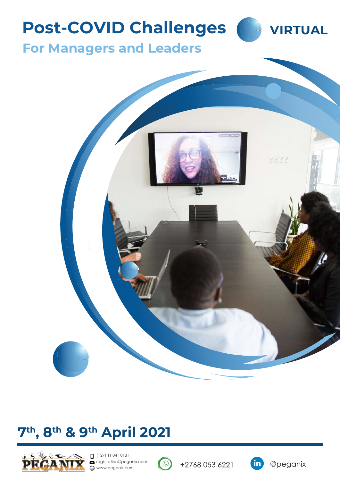# **Post-COVID Challenges**



**For Managers and Leaders**



# **7 th, 8th & 9th April 2021**



 $(+27)$  11 041 0181 registration@peganix.com www.peganix.com



+2768 053 6221

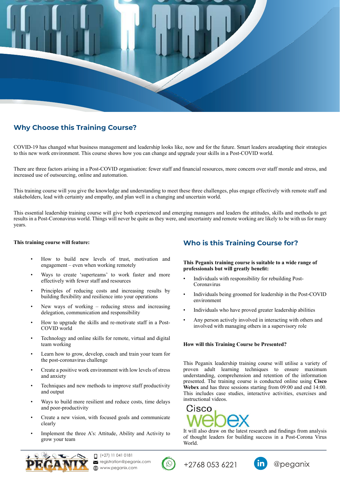

### **Why Choose this Training Course?**

COVID-19 has changed what business management and leadership looks like, now and for the future. Smart leaders areadapting their strategies to this new work environment. This course shows how you can change and upgrade your skills in a Post-COVID world.

There are three factors arising in a Post-COVID organisation: fewer staff and financial resources, more concern over staff morale and stress, and increased use of outsourcing, online and automation.

This training course will you give the knowledge and understanding to meet these three challenges, plus engage effectively with remote staff and stakeholders, lead with certainty and empathy, and plan well in a changing and uncertain world.

This essential leadership training course will give both experienced and emerging managers and leaders the attitudes, skills and methods to get results in a Post-Coronavirus world. Things will never be quite as they were, and uncertainty and remote working are likely to be with us for many years.

#### **This training course will feature:**

- How to build new levels of trust, motivation and engagement – even when working remotely
- Ways to create 'superteams' to work faster and more effectively with fewer staff and resources
- Principles of reducing costs and increasing results by building flexibility and resilience into your operations
- New ways of working  $-$  reducing stress and increasing delegation, communication and responsibility
- How to upgrade the skills and re-motivate staff in a Post-COVID world
- Technology and online skills for remote, virtual and digital team working
- Learn how to grow, develop, coach and train your team for the post-coronavirus challenge
- Create a positive work environment with low levels of stress and anxiety
- Techniques and new methods to improve staff productivity and output
- Ways to build more resilient and reduce costs, time delays and poor-productivity
- Create a new vision, with focused goals and communicate clearly
- Implement the three A's: Attitude, Ability and Activity to grow your team

### **Who is this Training Course for?**

#### **This Peganix training course is suitable to a wide range of professionals but will greatly benefit:**

- Individuals with responsibility for rebuilding Post-Coronavirus
- Individuals being groomed for leadership in the Post-COVID environment
- Individuals who have proved greater leadership abilities
- Any person actively involved in interacting with others and involved with managing others in a supervisory role

#### **How will this Training Course be Presented?**

This Peganix leadership training course will utilise a variety of proven adult learning techniques to ensure maximum understanding, comprehension and retention of the information presented. The training course is conducted online using **Cisco Webex** and has three sessions starting from 09:00 and end 14:00. This includes case studies, interactive activities, exercises and instructional videos.



It will also draw on the latest research and findings from analysis of thought leaders for building success in a Post-Corona Virus World.



 $\Box$  (+27) 11 041 0181 registration@peganix.com ⊕ www.peganix.com





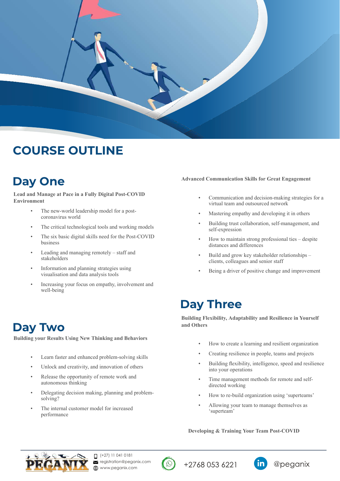

## **COURSE OUTLINE**

## **Day One**

**Lead and Manage at Pace in a Fully Digital Post-COVID Environment**

- The new-world leadership model for a postcoronavirus world
- The critical technological tools and working models
- The six basic digital skills need for the Post-COVID business
- Leading and managing remotely staff and stakeholders
- Information and planning strategies using visualisation and data analysis tools
- Increasing your focus on empathy, involvement and well-being

## **Day Two**

**Building your Results Using New Thinking and Behaviors**

- Learn faster and enhanced problem-solving skills
- Unlock and creativity, and innovation of others
- Release the opportunity of remote work and autonomous thinking
- Delegating decision making, planning and problemsolving?
- The internal customer model for increased performance

### **Advanced Communication Skills for Great Engagement**

- Communication and decision-making strategies for a virtual team and outsourced network
- Mastering empathy and developing it in others
- Building trust collaboration, self-management, and self-expression
- How to maintain strong professional ties despite distances and differences
- Build and grow key stakeholder relationships clients, colleagues and senior staff
- Being a driver of positive change and improvement

### **Day Three**

**Building Flexibility, Adaptability and Resilience in Yourself and Others**

- How to create a learning and resilient organization
- Creating resilience in people, teams and projects
- Building flexibility, intelligence, speed and resilience into your operations
- Time management methods for remote and selfdirected working
- How to re-build organization using 'superteams'
- Allowing your team to manage themselves as 'superteam'

**Developing & Training Your Team Post-COVID**





+2768 053 6221